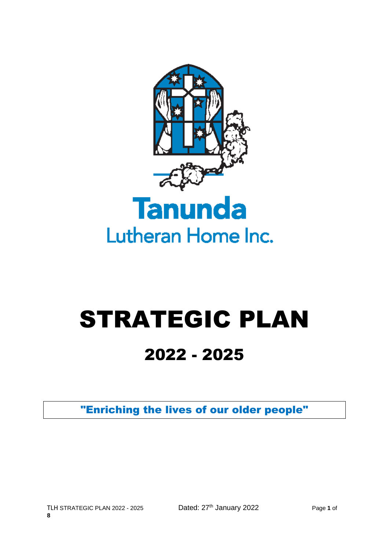

# STRATEGIC PLAN

## 2022 - 2025

"Enriching the lives of our older people"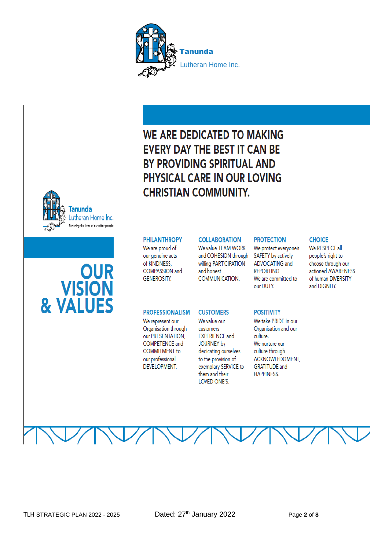

### WE ARE DEDICATED TO MAKING **EVERY DAY THE BEST IT CAN BE** BY PROVIDING SPIRITUAL AND PHYSICAL CARE IN OUR LOVING **CHRISTIAN COMMUNITY.**



#### **COLLABORATION**

We value TFAM WORK and COHESION through willing PARTICIPATION and honest COMMUNICATION.

#### **PROTECTION**

We protect everyone's SAFETY by actively ADVOCATING and **REPORTING** We are committed to our DUTY.

#### **POSITIVITY**

We take PRIDE in our Organisation and our culture. We nurture our culture through ACKNOWLEDGMENT, **GRATITUDE** and **HAPPINESS.** 

**CHOICE** We RESPECT all people's right to choose through our actioned AWARENESS of human DIVERSITY

and DIGNITY.

Tanunda Lutheran Home Inc. Enriching the lives of our older people

## **OUR VISION** & VALUES

#### **PROFESSIONALISM**

We are proud of

our genuine acts of KINDNESS.

**COMPASSION** and

**GENEROSITY.** 

We represent our Organisation through our PRESENTATION. **COMPETENCE and COMMITMENT** to our professional **DEVELOPMENT.** 

#### **CUSTOMERS**

We value our customers **EXPERIENCE and** JOURNEY by dedicating ourselves to the provision of exemplary SERVICE to them and their LOVED ONE'S.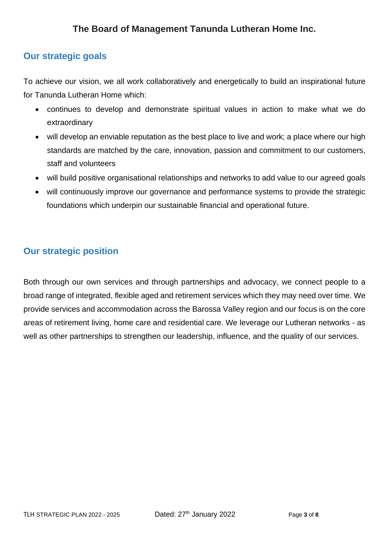### **Our strategic goals**

To achieve our vision, we all work collaboratively and energetically to build an inspirational future for Tanunda Lutheran Home which:

- continues to develop and demonstrate spiritual values in action to make what we do extraordinary
- will develop an enviable reputation as the best place to live and work; a place where our high standards are matched by the care, innovation, passion and commitment to our customers, staff and volunteers
- will build positive organisational relationships and networks to add value to our agreed goals
- will continuously improve our governance and performance systems to provide the strategic foundations which underpin our sustainable financial and operational future.

#### **Our strategic position**

Both through our own services and through partnerships and advocacy, we connect people to a broad range of integrated, flexible aged and retirement services which they may need over time. We provide services and accommodation across the Barossa Valley region and our focus is on the core areas of retirement living, home care and residential care. We leverage our Lutheran networks - as well as other partnerships to strengthen our leadership, influence, and the quality of our services.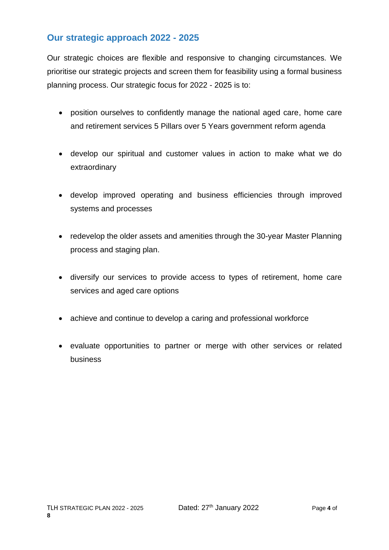#### **Our strategic approach 2022 - 2025**

Our strategic choices are flexible and responsive to changing circumstances. We prioritise our strategic projects and screen them for feasibility using a formal business planning process. Our strategic focus for 2022 - 2025 is to:

- position ourselves to confidently manage the national aged care, home care and retirement services 5 Pillars over 5 Years government reform agenda
- develop our spiritual and customer values in action to make what we do extraordinary
- develop improved operating and business efficiencies through improved systems and processes
- redevelop the older assets and amenities through the 30-year Master Planning process and staging plan.
- diversify our services to provide access to types of retirement, home care services and aged care options
- achieve and continue to develop a caring and professional workforce
- evaluate opportunities to partner or merge with other services or related business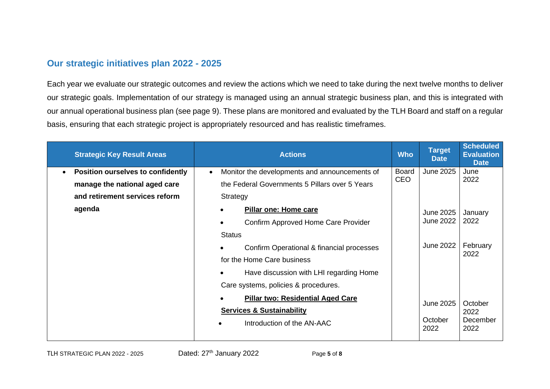#### **Our strategic initiatives plan 2022 - 2025**

Each year we evaluate our strategic outcomes and review the actions which we need to take during the next twelve months to deliver our strategic goals. Implementation of our strategy is managed using an annual strategic business plan, and this is integrated with our annual operational business plan (see page 9). These plans are monitored and evaluated by the TLH Board and staff on a regular basis, ensuring that each strategic project is appropriately resourced and has realistic timeframes.

| <b>Strategic Key Result Areas</b>        | <b>Actions</b>                                       | <b>Who</b>   | <b>Target</b><br><b>Date</b>         | <b>Scheduled</b><br><b>Evaluation</b><br><b>Date</b> |
|------------------------------------------|------------------------------------------------------|--------------|--------------------------------------|------------------------------------------------------|
| <b>Position ourselves to confidently</b> | Monitor the developments and announcements of        | <b>Board</b> | June 2025                            | June                                                 |
| manage the national aged care            | the Federal Governments 5 Pillars over 5 Years       | CEO          |                                      | 2022                                                 |
| and retirement services reform           | Strategy                                             |              |                                      |                                                      |
| agenda                                   | <b>Pillar one: Home care</b><br>$\bullet$            |              | <b>June 2025</b><br><b>June 2022</b> | January<br>2022                                      |
|                                          | Confirm Approved Home Care Provider<br>$\bullet$     |              |                                      |                                                      |
|                                          | <b>Status</b>                                        |              |                                      |                                                      |
|                                          | Confirm Operational & financial processes            |              | <b>June 2022</b>                     | February<br>2022                                     |
|                                          | for the Home Care business                           |              |                                      |                                                      |
|                                          | Have discussion with LHI regarding Home<br>$\bullet$ |              |                                      |                                                      |
|                                          | Care systems, policies & procedures.                 |              |                                      |                                                      |
|                                          | <b>Pillar two: Residential Aged Care</b>             |              | <b>June 2025</b>                     | October<br>2022                                      |
|                                          | <b>Services &amp; Sustainability</b>                 |              |                                      |                                                      |
|                                          | Introduction of the AN-AAC                           |              | October<br>2022                      | December<br>2022                                     |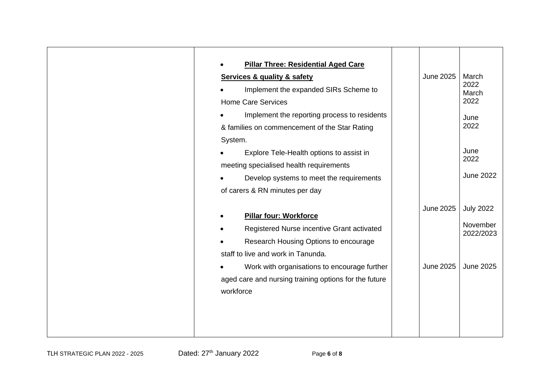| <b>Pillar Three: Residential Aged Care</b><br><b>Services &amp; quality &amp; safety</b><br>Implement the expanded SIRs Scheme to<br><b>Home Care Services</b><br>Implement the reporting process to residents<br>& families on commencement of the Star Rating<br>System.<br>Explore Tele-Health options to assist in<br>meeting specialised health requirements | <b>June 2025</b> | March<br>2022<br>March<br>2022<br>June<br>2022<br>June<br>2022<br><b>June 2022</b> |
|-------------------------------------------------------------------------------------------------------------------------------------------------------------------------------------------------------------------------------------------------------------------------------------------------------------------------------------------------------------------|------------------|------------------------------------------------------------------------------------|
| Develop systems to meet the requirements<br>of carers & RN minutes per day<br><b>Pillar four: Workforce</b><br>Registered Nurse incentive Grant activated                                                                                                                                                                                                         | <b>June 2025</b> | <b>July 2022</b><br>November                                                       |
| Research Housing Options to encourage<br>staff to live and work in Tanunda.<br>Work with organisations to encourage further<br>aged care and nursing training options for the future<br>workforce                                                                                                                                                                 | <b>June 2025</b> | 2022/2023<br><b>June 2025</b>                                                      |
|                                                                                                                                                                                                                                                                                                                                                                   |                  |                                                                                    |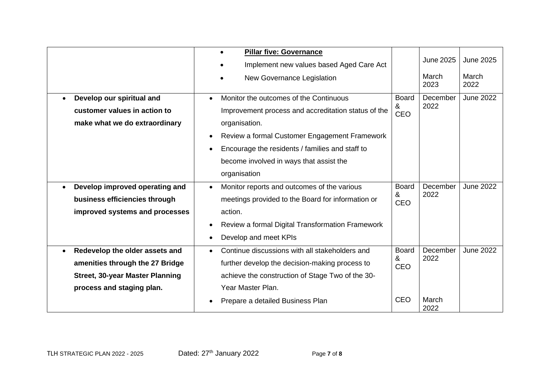| <b>Pillar five: Governance</b><br><b>June 2025</b><br>Implement new values based Aged Care Act                            | <b>June 2025</b> |
|---------------------------------------------------------------------------------------------------------------------------|------------------|
|                                                                                                                           |                  |
| March                                                                                                                     | March            |
| New Governance Legislation<br>2023                                                                                        | 2022             |
| Monitor the outcomes of the Continuous<br>December<br>Develop our spiritual and<br>Board<br>$\bullet$                     | <b>June 2022</b> |
| 2022<br>&<br>customer values in action to<br>Improvement process and accreditation status of the<br><b>CEO</b>            |                  |
| make what we do extraordinary<br>organisation.                                                                            |                  |
| Review a formal Customer Engagement Framework                                                                             |                  |
| Encourage the residents / families and staff to                                                                           |                  |
| become involved in ways that assist the                                                                                   |                  |
| organisation                                                                                                              |                  |
| December<br>Develop improved operating and<br>Monitor reports and outcomes of the various<br><b>Board</b><br>$\bullet$    | <b>June 2022</b> |
| 2022<br>&<br>business efficiencies through<br>meetings provided to the Board for information or<br><b>CEO</b>             |                  |
| improved systems and processes<br>action.                                                                                 |                  |
| Review a formal Digital Transformation Framework<br>$\bullet$                                                             |                  |
| Develop and meet KPIs                                                                                                     |                  |
| December<br>Continue discussions with all stakeholders and<br><b>Board</b><br>Redevelop the older assets and<br>$\bullet$ | <b>June 2022</b> |
| 2022<br>&<br>amenities through the 27 Bridge<br>further develop the decision-making process to<br><b>CEO</b>              |                  |
| <b>Street, 30-year Master Planning</b><br>achieve the construction of Stage Two of the 30-                                |                  |
| Year Master Plan.<br>process and staging plan.                                                                            |                  |
| <b>CEO</b><br>March<br>Prepare a detailed Business Plan<br>2022                                                           |                  |